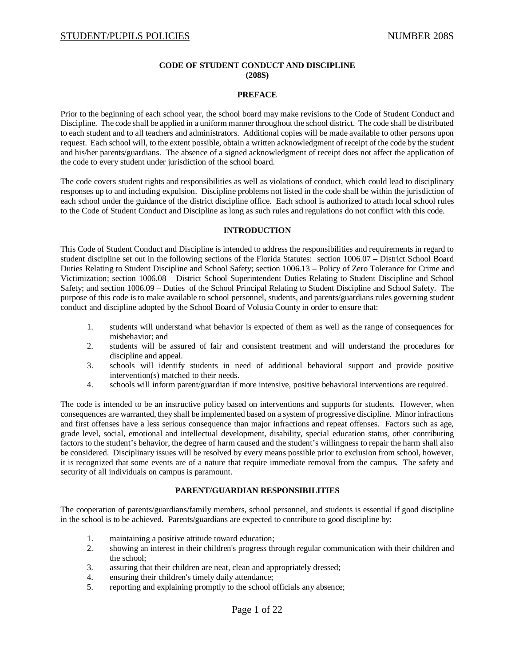# **CODE OF STUDENT CONDUCT AND DISCIPLINE (208S)**

#### **PREFACE**

Prior to the beginning of each school year, the school board may make revisions to the Code of Student Conduct and Discipline. The code shall be applied in a uniform manner throughout the school district. The code shall be distributed to each student and to all teachers and administrators. Additional copies will be made available to other persons upon request. Each school will, to the extent possible, obtain a written acknowledgment of receipt of the code by the student and his/her parents/guardians. The absence of a signed acknowledgment of receipt does not affect the application of the code to every student under jurisdiction of the school board.

The code covers student rights and responsibilities as well as violations of conduct, which could lead to disciplinary responses up to and including expulsion. Discipline problems not listed in the code shall be within the jurisdiction of each school under the guidance of the district discipline office. Each school is authorized to attach local school rules to the Code of Student Conduct and Discipline as long as such rules and regulations do not conflict with this code.

### **INTRODUCTION**

This Code of Student Conduct and Discipline is intended to address the responsibilities and requirements in regard to student discipline set out in the following sections of the Florida Statutes: section 1006.07 – District School Board Duties Relating to Student Discipline and School Safety; section 1006.13 – Policy of Zero Tolerance for Crime and Victimization; section 1006.08 – District School Superintendent Duties Relating to Student Discipline and School Safety; and section 1006.09 – Duties of the School Principal Relating to Student Discipline and School Safety. The purpose of this code is to make available to school personnel, students, and parents/guardians rules governing student conduct and discipline adopted by the School Board of Volusia County in order to ensure that:

- 1. students will understand what behavior is expected of them as well as the range of consequences for misbehavior; and
- 2. students will be assured of fair and consistent treatment and will understand the procedures for discipline and appeal.
- 3. schools will identify students in need of additional behavioral support and provide positive intervention(s) matched to their needs.
- 4. schools will inform parent/guardian if more intensive, positive behavioral interventions are required.

The code is intended to be an instructive policy based on interventions and supports for students. However, when consequences are warranted, they shall be implemented based on a system of progressive discipline. Minor infractions and first offenses have a less serious consequence than major infractions and repeat offenses. Factors such as age, grade level, social, emotional and intellectual development, disability, special education status, other contributing factors to the student's behavior, the degree of harm caused and the student's willingness to repair the harm shall also be considered. Disciplinary issues will be resolved by every means possible prior to exclusion from school, however, it is recognized that some events are of a nature that require immediate removal from the campus. The safety and security of all individuals on campus is paramount.

# **PARENT/GUARDIAN RESPONSIBILITIES**

The cooperation of parents/guardians/family members, school personnel, and students is essential if good discipline in the school is to be achieved. Parents/guardians are expected to contribute to good discipline by:

- 1. maintaining a positive attitude toward education;
- 2. showing an interest in their children's progress through regular communication with their children and the school;
- 3. assuring that their children are neat, clean and appropriately dressed;
- 4. ensuring their children's timely daily attendance;
- 5. reporting and explaining promptly to the school officials any absence;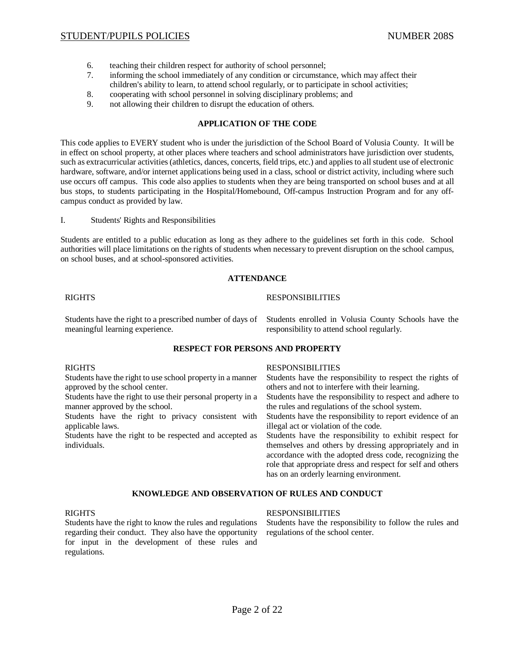- 6. teaching their children respect for authority of school personnel;
- 7. informing the school immediately of any condition or circumstance, which may affect their children's ability to learn, to attend school regularly, or to participate in school activities;
- 8. cooperating with school personnel in solving disciplinary problems; and
- 9. not allowing their children to disrupt the education of others.

# **APPLICATION OF THE CODE**

This code applies to EVERY student who is under the jurisdiction of the School Board of Volusia County. It will be in effect on school property, at other places where teachers and school administrators have jurisdiction over students, such as extracurricular activities (athletics, dances, concerts, field trips, etc.) and applies to all student use of electronic hardware, software, and/or internet applications being used in a class, school or district activity, including where such use occurs off campus. This code also applies to students when they are being transported on school buses and at all bus stops, to students participating in the Hospital/Homebound, Off-campus Instruction Program and for any offcampus conduct as provided by law.

I. Students' Rights and Responsibilities

Students are entitled to a public education as long as they adhere to the guidelines set forth in this code. School authorities will place limitations on the rights of students when necessary to prevent disruption on the school campus, on school buses, and at school-sponsored activities.

# **ATTENDANCE**

### RIGHTS **RESPONSIBILITIES**

meaningful learning experience. The responsibility to attend school regularly.

Students have the right to a prescribed number of days of Students enrolled in Volusia County Schools have the

# **RESPECT FOR PERSONS AND PROPERTY**

| <b>RIGHTS</b>                                               | <b>RESPONSIBILITIES</b>                                                                                                                                                                                                     |
|-------------------------------------------------------------|-----------------------------------------------------------------------------------------------------------------------------------------------------------------------------------------------------------------------------|
| Students have the right to use school property in a manner  | Students have the responsibility to respect the rights of                                                                                                                                                                   |
| approved by the school center.                              | others and not to interfere with their learning.                                                                                                                                                                            |
| Students have the right to use their personal property in a | Students have the responsibility to respect and adhere to                                                                                                                                                                   |
| manner approved by the school.                              | the rules and regulations of the school system.                                                                                                                                                                             |
| Students have the right to privacy consistent with          | Students have the responsibility to report evidence of an                                                                                                                                                                   |
| applicable laws.                                            | illegal act or violation of the code.                                                                                                                                                                                       |
| Students have the right to be respected and accepted as     | Students have the responsibility to exhibit respect for                                                                                                                                                                     |
| individuals.                                                | themselves and others by dressing appropriately and in<br>accordance with the adopted dress code, recognizing the<br>role that appropriate dress and respect for self and others<br>has on an orderly learning environment. |
|                                                             |                                                                                                                                                                                                                             |

**KNOWLEDGE AND OBSERVATION OF RULES AND CONDUCT** 

Students have the right to know the rules and regulations Students have the responsibility to follow the rules and regarding their conduct. They also have the opportunity regulations of the school center. for input in the development of these rules and regulations.

# RIGHTS **RESPONSIBILITIES**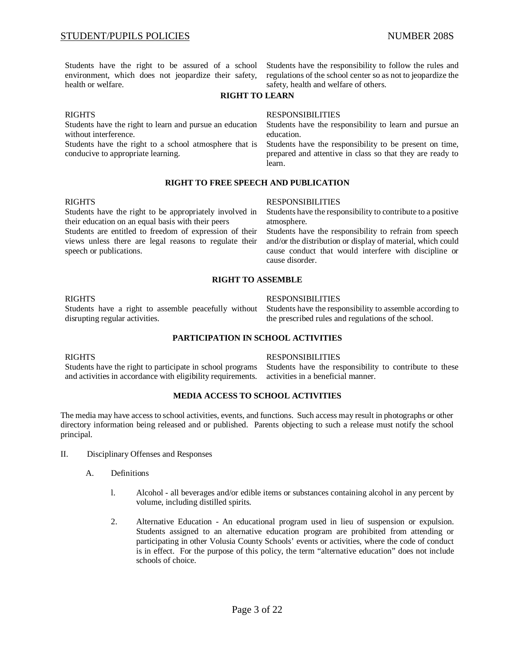health or welfare. Shealth and welfare of others.

Students have the right to be assured of a school Students have the responsibility to follow the rules and environment, which does not jeopardize their safety, regulations of the school center so as not to jeopardize the

# **RIGHT TO LEARN**

without interference.  $\blacksquare$ 

Students have the right to a school atmosphere that is Students have the responsibility to be present on time,

#### RIGHTS RESPONSIBILITIES

Students have the right to learn and pursue an education Students have the responsibility to learn and pursue an

conducive to appropriate learning. prepared and attentive in class so that they are ready to learn.

# **RIGHT TO FREE SPEECH AND PUBLICATION**

their education on an equal basis with their peers atmosphere. Students are entitled to freedom of expression of their Students have the responsibility to refrain from speech views unless there are legal reasons to regulate their and/or the distribution or display of material, which c

#### RIGHTS RESPONSIBILITIES

Students have the right to be appropriately involved in Students have the responsibility to contribute to a positive

and/or the distribution or display of material, which could speech or publications. The cause conduct that would interfere with discipline or cause disorder.

### **RIGHT TO ASSEMBLE**

disrupting regular activities. the prescribed rules and regulations of the school.

#### RIGHTS RESPONSIBILITIES

Students have a right to assemble peacefully without Students have the responsibility to assemble according to

# **PARTICIPATION IN SCHOOL ACTIVITIES**

and activities in accordance with eligibility requirements. activities in a beneficial manner.

#### RIGHTS RESPONSIBILITIES

Students have the right to participate in school programs Students have the responsibility to contribute to these

# **MEDIA ACCESS TO SCHOOL ACTIVITIES**

The media may have access to school activities, events, and functions. Such access may result in photographs or other directory information being released and or published. Parents objecting to such a release must notify the school principal.

- II. Disciplinary Offenses and Responses
	- A. Definitions
		- l. Alcohol all beverages and/or edible items or substances containing alcohol in any percent by volume, including distilled spirits.
		- 2. Alternative Education An educational program used in lieu of suspension or expulsion. Students assigned to an alternative education program are prohibited from attending or participating in other Volusia County Schools' events or activities, where the code of conduct is in effect. For the purpose of this policy, the term "alternative education" does not include schools of choice.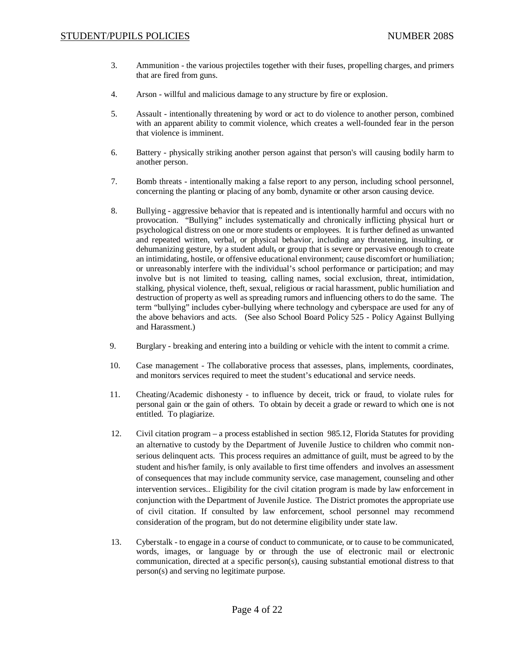- 3. Ammunition the various projectiles together with their fuses, propelling charges, and primers that are fired from guns.
- 4. Arson willful and malicious damage to any structure by fire or explosion.
- 5. Assault intentionally threatening by word or act to do violence to another person, combined with an apparent ability to commit violence, which creates a well-founded fear in the person that violence is imminent.
- 6. Battery physically striking another person against that person's will causing bodily harm to another person.
- 7. Bomb threats intentionally making a false report to any person, including school personnel, concerning the planting or placing of any bomb, dynamite or other arson causing device.
- 8. Bullying aggressive behavior that is repeated and is intentionally harmful and occurs with no provocation. "Bullying" includes systematically and chronically inflicting physical hurt or psychological distress on one or more students or employees. It is further defined as unwanted and repeated written, verbal, or physical behavior, including any threatening, insulting, or dehumanizing gesture, by a student adult, or group that is severe or pervasive enough to create an intimidating, hostile, or offensive educational environment; cause discomfort or humiliation; or unreasonably interfere with the individual's school performance or participation; and may involve but is not limited to teasing, calling names, social exclusion, threat, intimidation, stalking, physical violence, theft, sexual, religious or racial harassment, public humiliation and destruction of property as well as spreading rumors and influencing others to do the same. The term "bullying" includes cyber-bullying where technology and cyberspace are used for any of the above behaviors and acts. (See also School Board Policy 525 - Policy Against Bullying and Harassment.)
- 9. Burglary breaking and entering into a building or vehicle with the intent to commit a crime.
- 10. Case management The collaborative process that assesses, plans, implements, coordinates, and monitors services required to meet the student's educational and service needs.
- 11. Cheating/Academic dishonesty to influence by deceit, trick or fraud, to violate rules for personal gain or the gain of others. To obtain by deceit a grade or reward to which one is not entitled. To plagiarize.
- 12. Civil citation program a process established in section 985.12, Florida Statutes for providing an alternative to custody by the Department of Juvenile Justice to children who commit nonserious delinquent acts. This process requires an admittance of guilt, must be agreed to by the student and his/her family, is only available to first time offenders and involves an assessment of consequences that may include community service, case management, counseling and other intervention services.. Eligibility for the civil citation program is made by law enforcement in conjunction with the Department of Juvenile Justice. The District promotes the appropriate use of civil citation. If consulted by law enforcement, school personnel may recommend consideration of the program, but do not determine eligibility under state law.
- 13. Cyberstalk to engage in a course of conduct to communicate, or to cause to be communicated, words, images, or language by or through the use of electronic mail or electronic communication, directed at a specific person(s), causing substantial emotional distress to that person(s) and serving no legitimate purpose.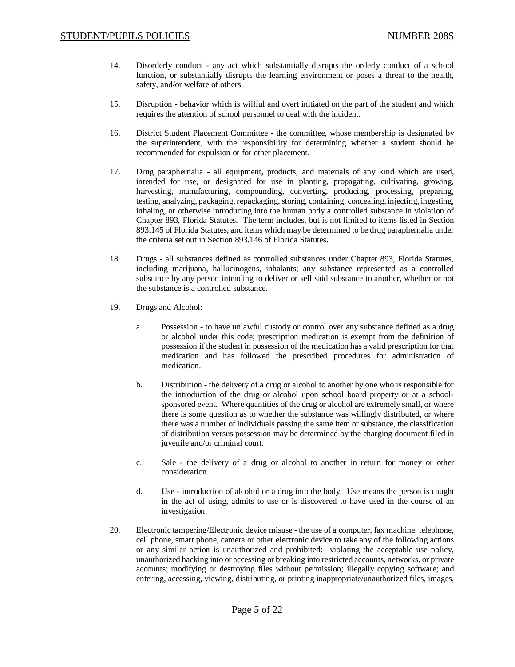- 14. Disorderly conduct any act which substantially disrupts the orderly conduct of a school function, or substantially disrupts the learning environment or poses a threat to the health, safety, and/or welfare of others.
- 15. Disruption behavior which is willful and overt initiated on the part of the student and which requires the attention of school personnel to deal with the incident.
- 16. District Student Placement Committee the committee, whose membership is designated by the superintendent, with the responsibility for determining whether a student should be recommended for expulsion or for other placement.
- 17. Drug paraphernalia all equipment, products, and materials of any kind which are used, intended for use, or designated for use in planting, propagating, cultivating, growing, harvesting, manufacturing, compounding, converting, producing, processing, preparing, testing, analyzing, packaging, repackaging, storing, containing, concealing, injecting, ingesting, inhaling, or otherwise introducing into the human body a controlled substance in violation of Chapter 893, Florida Statutes. The term includes, but is not limited to items listed in Section 893.145 of Florida Statutes, and items which may be determined to be drug paraphernalia under the criteria set out in Section 893.146 of Florida Statutes.
- 18. Drugs all substances defined as controlled substances under Chapter 893, Florida Statutes, including marijuana, hallucinogens, inhalants; any substance represented as a controlled substance by any person intending to deliver or sell said substance to another, whether or not the substance is a controlled substance.
- 19. Drugs and Alcohol:
	- a. Possession to have unlawful custody or control over any substance defined as a drug or alcohol under this code; prescription medication is exempt from the definition of possession if the student in possession of the medication has a valid prescription for that medication and has followed the prescribed procedures for administration of medication.
	- b. Distribution the delivery of a drug or alcohol to another by one who is responsible for the introduction of the drug or alcohol upon school board property or at a schoolsponsored event. Where quantities of the drug or alcohol are extremely small, or where there is some question as to whether the substance was willingly distributed, or where there was a number of individuals passing the same item or substance, the classification of distribution versus possession may be determined by the charging document filed in juvenile and/or criminal court.
	- c. Sale the delivery of a drug or alcohol to another in return for money or other consideration.
	- d. Use introduction of alcohol or a drug into the body. Use means the person is caught in the act of using, admits to use or is discovered to have used in the course of an investigation.
- 20. Electronic tampering/Electronic device misuse the use of a computer, fax machine, telephone, cell phone, smart phone, camera or other electronic device to take any of the following actions or any similar action is unauthorized and prohibited: violating the acceptable use policy, unauthorized hacking into or accessing or breaking into restricted accounts, networks, or private accounts; modifying or destroying files without permission; illegally copying software; and entering, accessing, viewing, distributing, or printing inappropriate/unauthorized files, images,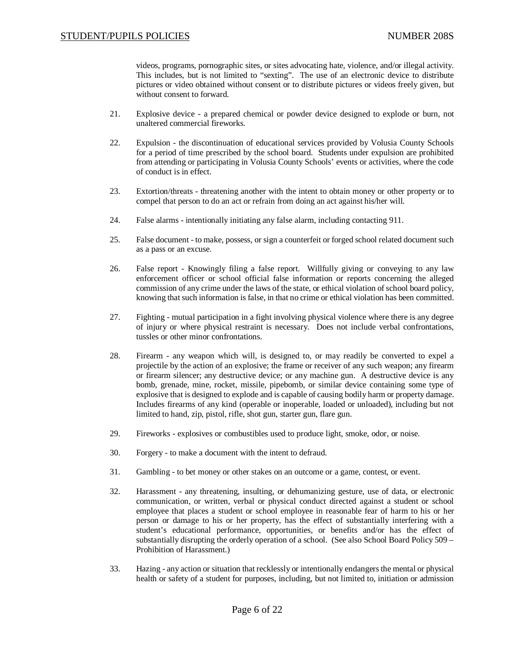videos, programs, pornographic sites, or sites advocating hate, violence, and/or illegal activity. This includes, but is not limited to "sexting". The use of an electronic device to distribute pictures or video obtained without consent or to distribute pictures or videos freely given, but without consent to forward.

- 21. Explosive device a prepared chemical or powder device designed to explode or burn, not unaltered commercial fireworks.
- 22. Expulsion the discontinuation of educational services provided by Volusia County Schools for a period of time prescribed by the school board. Students under expulsion are prohibited from attending or participating in Volusia County Schools' events or activities, where the code of conduct is in effect.
- 23. Extortion/threats threatening another with the intent to obtain money or other property or to compel that person to do an act or refrain from doing an act against his/her will.
- 24. False alarms intentionally initiating any false alarm, including contacting 911.
- 25. False document to make, possess, or sign a counterfeit or forged school related document such as a pass or an excuse.
- 26. False report Knowingly filing a false report. Willfully giving or conveying to any law enforcement officer or school official false information or reports concerning the alleged commission of any crime under the laws of the state, or ethical violation of school board policy, knowing that such information is false, in that no crime or ethical violation has been committed.
- 27. Fighting mutual participation in a fight involving physical violence where there is any degree of injury or where physical restraint is necessary. Does not include verbal confrontations, tussles or other minor confrontations.
- 28. Firearm any weapon which will, is designed to, or may readily be converted to expel a projectile by the action of an explosive; the frame or receiver of any such weapon; any firearm or firearm silencer; any destructive device; or any machine gun. A destructive device is any bomb, grenade, mine, rocket, missile, pipebomb, or similar device containing some type of explosive that is designed to explode and is capable of causing bodily harm or property damage. Includes firearms of any kind (operable or inoperable, loaded or unloaded), including but not limited to hand, zip, pistol, rifle, shot gun, starter gun, flare gun.
- 29. Fireworks explosives or combustibles used to produce light, smoke, odor, or noise.
- 30. Forgery to make a document with the intent to defraud.
- 31. Gambling to bet money or other stakes on an outcome or a game, contest, or event.
- 32. Harassment any threatening, insulting, or dehumanizing gesture, use of data, or electronic communication, or written, verbal or physical conduct directed against a student or school employee that places a student or school employee in reasonable fear of harm to his or her person or damage to his or her property, has the effect of substantially interfering with a student's educational performance, opportunities, or benefits and/or has the effect of substantially disrupting the orderly operation of a school. (See also School Board Policy 509 – Prohibition of Harassment.)
- 33. Hazing any action or situation that recklessly or intentionally endangers the mental or physical health or safety of a student for purposes, including, but not limited to, initiation or admission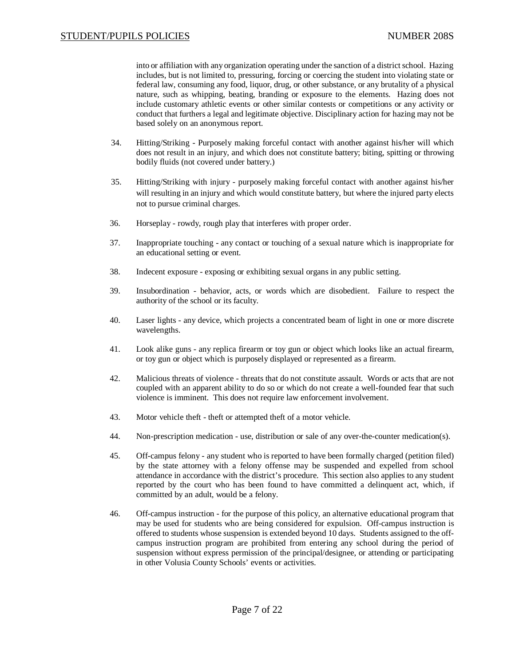into or affiliation with any organization operating under the sanction of a district school. Hazing includes, but is not limited to, pressuring, forcing or coercing the student into violating state or federal law, consuming any food, liquor, drug, or other substance, or any brutality of a physical nature, such as whipping, beating, branding or exposure to the elements. Hazing does not include customary athletic events or other similar contests or competitions or any activity or conduct that furthers a legal and legitimate objective. Disciplinary action for hazing may not be based solely on an anonymous report.

- 34. Hitting/Striking Purposely making forceful contact with another against his/her will which does not result in an injury, and which does not constitute battery; biting, spitting or throwing bodily fluids (not covered under battery.)
- 35. Hitting/Striking with injury purposely making forceful contact with another against his/her will resulting in an injury and which would constitute battery, but where the injured party elects not to pursue criminal charges.
- 36. Horseplay rowdy, rough play that interferes with proper order.
- 37. Inappropriate touching any contact or touching of a sexual nature which is inappropriate for an educational setting or event.
- 38. Indecent exposure exposing or exhibiting sexual organs in any public setting.
- 39. Insubordination behavior, acts, or words which are disobedient. Failure to respect the authority of the school or its faculty.
- 40. Laser lights any device, which projects a concentrated beam of light in one or more discrete wavelengths.
- 41. Look alike guns any replica firearm or toy gun or object which looks like an actual firearm, or toy gun or object which is purposely displayed or represented as a firearm.
- 42. Malicious threats of violence threats that do not constitute assault. Words or acts that are not coupled with an apparent ability to do so or which do not create a well-founded fear that such violence is imminent. This does not require law enforcement involvement.
- 43. Motor vehicle theft theft or attempted theft of a motor vehicle.
- 44. Non-prescription medication use, distribution or sale of any over-the-counter medication(s).
- 45. Off-campus felony any student who is reported to have been formally charged (petition filed) by the state attorney with a felony offense may be suspended and expelled from school attendance in accordance with the district's procedure. This section also applies to any student reported by the court who has been found to have committed a delinquent act, which, if committed by an adult, would be a felony.
- 46. Off-campus instruction for the purpose of this policy, an alternative educational program that may be used for students who are being considered for expulsion. Off-campus instruction is offered to students whose suspension is extended beyond 10 days. Students assigned to the offcampus instruction program are prohibited from entering any school during the period of suspension without express permission of the principal/designee, or attending or participating in other Volusia County Schools' events or activities.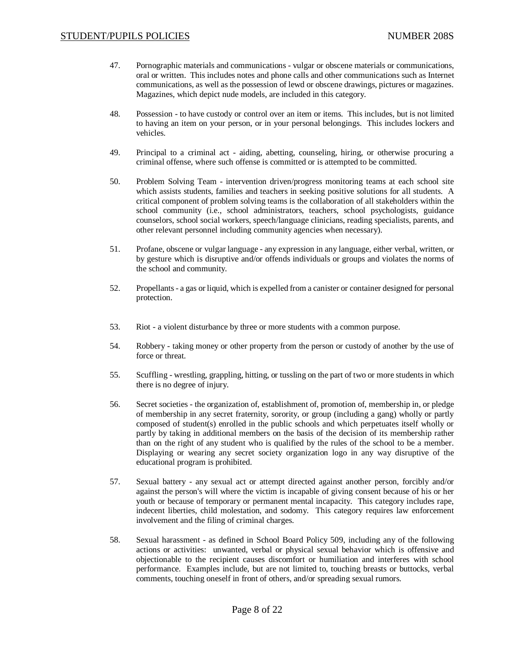- 47. Pornographic materials and communications vulgar or obscene materials or communications, oral or written. This includes notes and phone calls and other communications such as Internet communications, as well as the possession of lewd or obscene drawings, pictures or magazines. Magazines, which depict nude models, are included in this category.
- 48. Possession to have custody or control over an item or items. This includes, but is not limited to having an item on your person, or in your personal belongings. This includes lockers and vehicles.
- 49. Principal to a criminal act aiding, abetting, counseling, hiring, or otherwise procuring a criminal offense, where such offense is committed or is attempted to be committed.
- 50. Problem Solving Team intervention driven/progress monitoring teams at each school site which assists students, families and teachers in seeking positive solutions for all students. A critical component of problem solving teams is the collaboration of all stakeholders within the school community (i.e., school administrators, teachers, school psychologists, guidance counselors, school social workers, speech/language clinicians, reading specialists, parents, and other relevant personnel including community agencies when necessary).
- 51. Profane, obscene or vulgar language any expression in any language, either verbal, written, or by gesture which is disruptive and/or offends individuals or groups and violates the norms of the school and community.
- 52. Propellants a gas or liquid, which is expelled from a canister or container designed for personal protection.
- 53. Riot a violent disturbance by three or more students with a common purpose.
- 54. Robbery taking money or other property from the person or custody of another by the use of force or threat.
- 55. Scuffling wrestling, grappling, hitting, or tussling on the part of two or more students in which there is no degree of injury.
- 56. Secret societies the organization of, establishment of, promotion of, membership in, or pledge of membership in any secret fraternity, sorority, or group (including a gang) wholly or partly composed of student(s) enrolled in the public schools and which perpetuates itself wholly or partly by taking in additional members on the basis of the decision of its membership rather than on the right of any student who is qualified by the rules of the school to be a member. Displaying or wearing any secret society organization logo in any way disruptive of the educational program is prohibited.
- 57. Sexual battery any sexual act or attempt directed against another person, forcibly and/or against the person's will where the victim is incapable of giving consent because of his or her youth or because of temporary or permanent mental incapacity. This category includes rape, indecent liberties, child molestation, and sodomy. This category requires law enforcement involvement and the filing of criminal charges.
- 58. Sexual harassment as defined in School Board Policy 509, including any of the following actions or activities: unwanted, verbal or physical sexual behavior which is offensive and objectionable to the recipient causes discomfort or humiliation and interferes with school performance. Examples include, but are not limited to, touching breasts or buttocks, verbal comments, touching oneself in front of others, and/or spreading sexual rumors.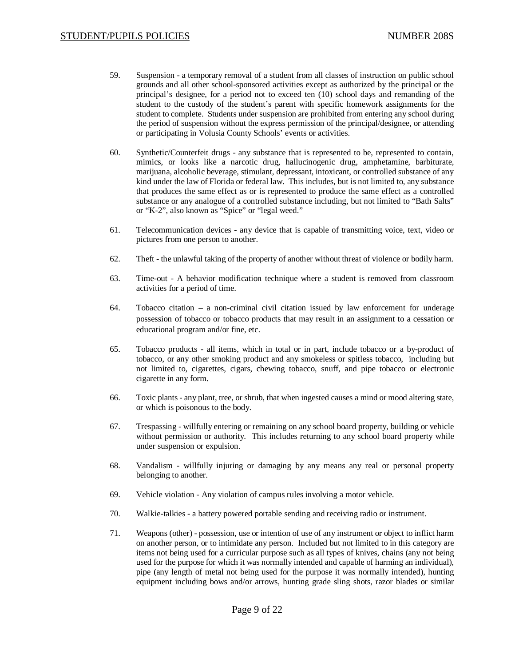- 59. Suspension a temporary removal of a student from all classes of instruction on public school grounds and all other school-sponsored activities except as authorized by the principal or the principal's designee, for a period not to exceed ten (10) school days and remanding of the student to the custody of the student's parent with specific homework assignments for the student to complete. Students under suspension are prohibited from entering any school during the period of suspension without the express permission of the principal/designee, or attending or participating in Volusia County Schools' events or activities.
- 60. Synthetic/Counterfeit drugs any substance that is represented to be, represented to contain, mimics, or looks like a narcotic drug, hallucinogenic drug, amphetamine, barbiturate, marijuana, alcoholic beverage, stimulant, depressant, intoxicant, or controlled substance of any kind under the law of Florida or federal law. This includes, but is not limited to, any substance that produces the same effect as or is represented to produce the same effect as a controlled substance or any analogue of a controlled substance including, but not limited to "Bath Salts" or "K-2", also known as "Spice" or "legal weed."
- 61. Telecommunication devices any device that is capable of transmitting voice, text, video or pictures from one person to another.
- 62. Theft the unlawful taking of the property of another without threat of violence or bodily harm.
- 63. Time-out A behavior modification technique where a student is removed from classroom activities for a period of time.
- 64. Tobacco citation a non-criminal civil citation issued by law enforcement for underage possession of tobacco or tobacco products that may result in an assignment to a cessation or educational program and/or fine, etc.
- 65. Tobacco products all items, which in total or in part, include tobacco or a by-product of tobacco, or any other smoking product and any smokeless or spitless tobacco, including but not limited to, cigarettes, cigars, chewing tobacco, snuff, and pipe tobacco or electronic cigarette in any form.
- 66. Toxic plants any plant, tree, or shrub, that when ingested causes a mind or mood altering state, or which is poisonous to the body.
- 67. Trespassing willfully entering or remaining on any school board property, building or vehicle without permission or authority. This includes returning to any school board property while under suspension or expulsion.
- 68. Vandalism willfully injuring or damaging by any means any real or personal property belonging to another.
- 69. Vehicle violation Any violation of campus rules involving a motor vehicle.
- 70. Walkie-talkies a battery powered portable sending and receiving radio or instrument.
- 71. Weapons (other) possession, use or intention of use of any instrument or object to inflict harm on another person, or to intimidate any person. Included but not limited to in this category are items not being used for a curricular purpose such as all types of knives, chains (any not being used for the purpose for which it was normally intended and capable of harming an individual), pipe (any length of metal not being used for the purpose it was normally intended), hunting equipment including bows and/or arrows, hunting grade sling shots, razor blades or similar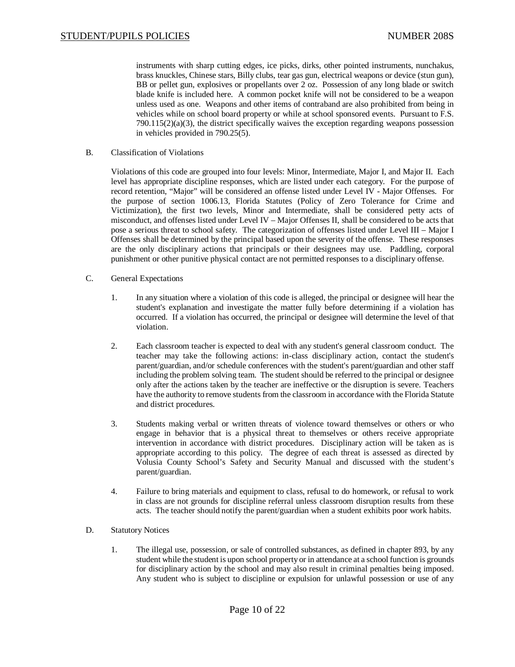instruments with sharp cutting edges, ice picks, dirks, other pointed instruments, nunchakus, brass knuckles, Chinese stars, Billy clubs, tear gas gun, electrical weapons or device (stun gun), BB or pellet gun, explosives or propellants over 2 oz. Possession of any long blade or switch blade knife is included here. A common pocket knife will not be considered to be a weapon unless used as one. Weapons and other items of contraband are also prohibited from being in vehicles while on school board property or while at school sponsored events. Pursuant to F.S.  $790.115(2)(a)(3)$ , the district specifically waives the exception regarding weapons possession in vehicles provided in 790.25(5).

B. Classification of Violations

Violations of this code are grouped into four levels: Minor, Intermediate, Major I, and Major II. Each level has appropriate discipline responses, which are listed under each category. For the purpose of record retention, "Major" will be considered an offense listed under Level IV - Major Offenses. For the purpose of section 1006.13, Florida Statutes (Policy of Zero Tolerance for Crime and Victimization), the first two levels, Minor and Intermediate, shall be considered petty acts of misconduct, and offenses listed under Level IV – Major Offenses II, shall be considered to be acts that pose a serious threat to school safety. The categorization of offenses listed under Level III – Major I Offenses shall be determined by the principal based upon the severity of the offense. These responses are the only disciplinary actions that principals or their designees may use. Paddling, corporal punishment or other punitive physical contact are not permitted responses to a disciplinary offense.

- C. General Expectations
	- 1. In any situation where a violation of this code is alleged, the principal or designee will hear the student's explanation and investigate the matter fully before determining if a violation has occurred. If a violation has occurred, the principal or designee will determine the level of that violation.
	- 2. Each classroom teacher is expected to deal with any student's general classroom conduct. The teacher may take the following actions: in-class disciplinary action, contact the student's parent/guardian, and/or schedule conferences with the student's parent/guardian and other staff including the problem solving team. The student should be referred to the principal or designee only after the actions taken by the teacher are ineffective or the disruption is severe. Teachers have the authority to remove students from the classroom in accordance with the Florida Statute and district procedures.
	- 3. Students making verbal or written threats of violence toward themselves or others or who engage in behavior that is a physical threat to themselves or others receive appropriate intervention in accordance with district procedures. Disciplinary action will be taken as is appropriate according to this policy. The degree of each threat is assessed as directed by Volusia County School's Safety and Security Manual and discussed with the student's parent/guardian.
	- 4. Failure to bring materials and equipment to class, refusal to do homework, or refusal to work in class are not grounds for discipline referral unless classroom disruption results from these acts. The teacher should notify the parent/guardian when a student exhibits poor work habits.
- D. Statutory Notices
	- 1. The illegal use, possession, or sale of controlled substances, as defined in chapter 893, by any student while the student is upon school property or in attendance at a school function is grounds for disciplinary action by the school and may also result in criminal penalties being imposed. Any student who is subject to discipline or expulsion for unlawful possession or use of any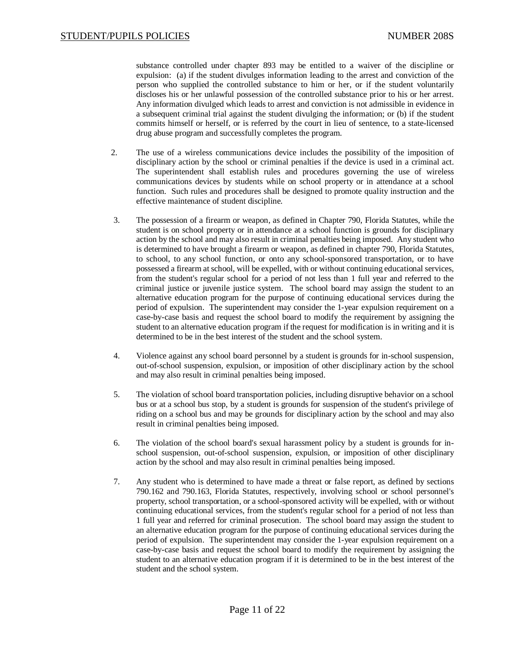substance controlled under chapter 893 may be entitled to a waiver of the discipline or expulsion: (a) if the student divulges information leading to the arrest and conviction of the person who supplied the controlled substance to him or her, or if the student voluntarily discloses his or her unlawful possession of the controlled substance prior to his or her arrest. Any information divulged which leads to arrest and conviction is not admissible in evidence in a subsequent criminal trial against the student divulging the information; or (b) if the student commits himself or herself, or is referred by the court in lieu of sentence, to a state-licensed drug abuse program and successfully completes the program.

- 2. The use of a wireless communications device includes the possibility of the imposition of disciplinary action by the school or criminal penalties if the device is used in a criminal act. The superintendent shall establish rules and procedures governing the use of wireless communications devices by students while on school property or in attendance at a school function. Such rules and procedures shall be designed to promote quality instruction and the effective maintenance of student discipline.
- 3. The possession of a firearm or weapon, as defined in Chapter 790, Florida Statutes, while the student is on school property or in attendance at a school function is grounds for disciplinary action by the school and may also result in criminal penalties being imposed. Any student who is determined to have brought a firearm or weapon, as defined in chapter 790, Florida Statutes, to school, to any school function, or onto any school-sponsored transportation, or to have possessed a firearm at school, will be expelled, with or without continuing educational services, from the student's regular school for a period of not less than 1 full year and referred to the criminal justice or juvenile justice system. The school board may assign the student to an alternative education program for the purpose of continuing educational services during the period of expulsion. The superintendent may consider the 1-year expulsion requirement on a case-by-case basis and request the school board to modify the requirement by assigning the student to an alternative education program if the request for modification is in writing and it is determined to be in the best interest of the student and the school system.
- 4. Violence against any school board personnel by a student is grounds for in-school suspension, out-of-school suspension, expulsion, or imposition of other disciplinary action by the school and may also result in criminal penalties being imposed.
- 5. The violation of school board transportation policies, including disruptive behavior on a school bus or at a school bus stop, by a student is grounds for suspension of the student's privilege of riding on a school bus and may be grounds for disciplinary action by the school and may also result in criminal penalties being imposed.
- 6. The violation of the school board's sexual harassment policy by a student is grounds for inschool suspension, out-of-school suspension, expulsion, or imposition of other disciplinary action by the school and may also result in criminal penalties being imposed.
- 7. Any student who is determined to have made a threat or false report, as defined by sections 790.162 and 790.163, Florida Statutes, respectively, involving school or school personnel's property, school transportation, or a school-sponsored activity will be expelled, with or without continuing educational services, from the student's regular school for a period of not less than 1 full year and referred for criminal prosecution. The school board may assign the student to an alternative education program for the purpose of continuing educational services during the period of expulsion. The superintendent may consider the 1-year expulsion requirement on a case-by-case basis and request the school board to modify the requirement by assigning the student to an alternative education program if it is determined to be in the best interest of the student and the school system.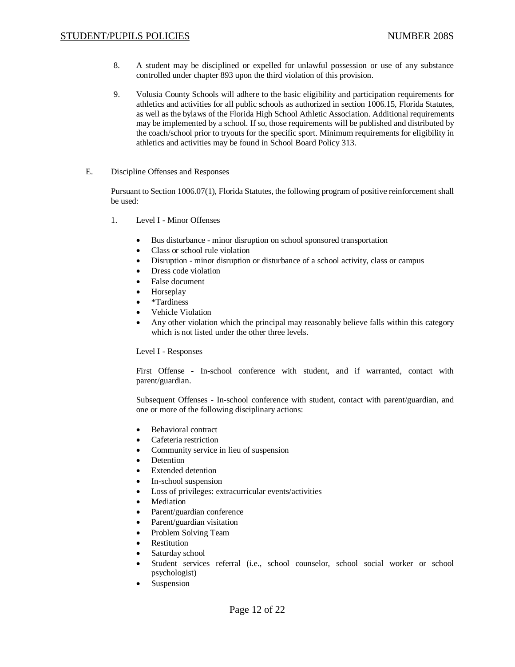- 8. A student may be disciplined or expelled for unlawful possession or use of any substance controlled under chapter 893 upon the third violation of this provision.
- 9. Volusia County Schools will adhere to the basic eligibility and participation requirements for athletics and activities for all public schools as authorized in section 1006.15, Florida Statutes, as well as the bylaws of the Florida High School Athletic Association. Additional requirements may be implemented by a school. If so, those requirements will be published and distributed by the coach/school prior to tryouts for the specific sport. Minimum requirements for eligibility in athletics and activities may be found in School Board Policy 313.
- E. Discipline Offenses and Responses

Pursuant to Section 1006.07(1), Florida Statutes, the following program of positive reinforcement shall be used:

- 1. Level I Minor Offenses
	- Bus disturbance minor disruption on school sponsored transportation
	- Class or school rule violation
	- Disruption minor disruption or disturbance of a school activity, class or campus
	- Dress code violation
	- False document
	- **Horseplay**
	- x \*Tardiness
	- Vehicle Violation
	- Any other violation which the principal may reasonably believe falls within this category which is not listed under the other three levels.

Level I - Responses

First Offense - In-school conference with student, and if warranted, contact with parent/guardian.

Subsequent Offenses - In-school conference with student, contact with parent/guardian, and one or more of the following disciplinary actions:

- Behavioral contract
- Cafeteria restriction
- Community service in lieu of suspension
- **Detention**
- Extended detention
- In-school suspension
- Loss of privileges: extracurricular events/activities
- **Mediation**
- Parent/guardian conference
- Parent/guardian visitation
- Problem Solving Team
- **Restitution**
- Saturday school
- Student services referral (i.e., school counselor, school social worker or school psychologist)
- Suspension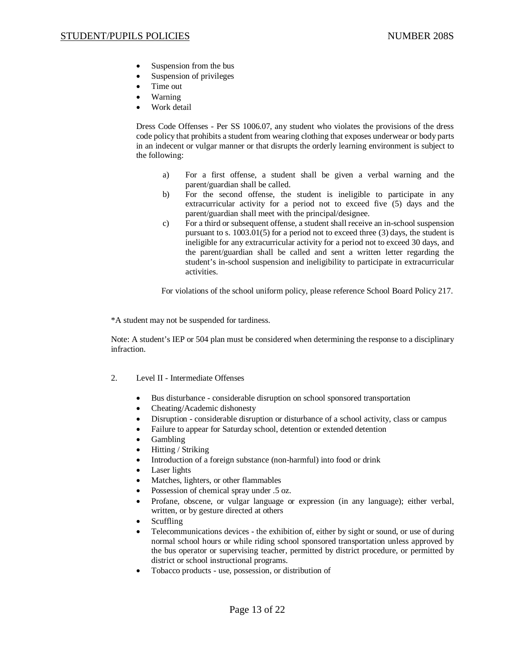- Suspension from the bus
- Suspension of privileges
- Time out
- **Warning**
- Work detail

Dress Code Offenses - Per SS 1006.07, any student who violates the provisions of the dress code policy that prohibits a student from wearing clothing that exposes underwear or body parts in an indecent or vulgar manner or that disrupts the orderly learning environment is subject to the following:

- a) For a first offense, a student shall be given a verbal warning and the parent/guardian shall be called.
- b) For the second offense, the student is ineligible to participate in any extracurricular activity for a period not to exceed five (5) days and the parent/guardian shall meet with the principal/designee.
- c) For a third or subsequent offense, a student shall receive an in-school suspension pursuant to s. 1003.01(5) for a period not to exceed three (3) days, the student is ineligible for any extracurricular activity for a period not to exceed 30 days, and the parent/guardian shall be called and sent a written letter regarding the student's in-school suspension and ineligibility to participate in extracurricular activities.

For violations of the school uniform policy, please reference School Board Policy 217.

\*A student may not be suspended for tardiness.

Note: A student's IEP or 504 plan must be considered when determining the response to a disciplinary infraction.

- 2. Level II Intermediate Offenses
	- Bus disturbance considerable disruption on school sponsored transportation
	- x Cheating/Academic dishonesty
	- Disruption considerable disruption or disturbance of a school activity, class or campus
	- Failure to appear for Saturday school, detention or extended detention
	- **Gambling**
	- $\bullet$  Hitting / Striking
	- Introduction of a foreign substance (non-harmful) into food or drink
	- Laser lights
	- Matches, lighters, or other flammables
	- Possession of chemical spray under .5 oz.
	- x Profane, obscene, or vulgar language or expression (in any language); either verbal, written, or by gesture directed at others
	- **Scuffling**
	- Telecommunications devices the exhibition of, either by sight or sound, or use of during normal school hours or while riding school sponsored transportation unless approved by the bus operator or supervising teacher, permitted by district procedure, or permitted by district or school instructional programs.
	- x Tobacco products use, possession, or distribution of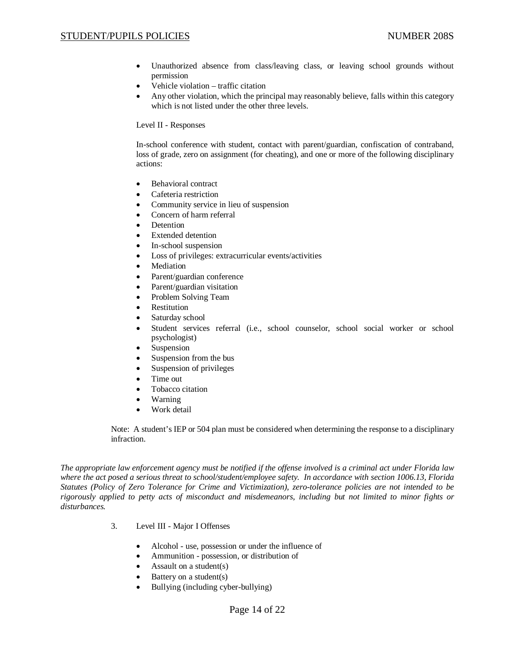# STUDENT/PUPILS POLICIES NUMBER 208S

- Unauthorized absence from class/leaving class, or leaving school grounds without permission
- Vehicle violation traffic citation
- Any other violation, which the principal may reasonably believe, falls within this category which is not listed under the other three levels.

### Level II - Responses

In-school conference with student, contact with parent/guardian, confiscation of contraband, loss of grade, zero on assignment (for cheating), and one or more of the following disciplinary actions:

- Behavioral contract
- Cafeteria restriction
- Community service in lieu of suspension
- Concern of harm referral
- Detention
- x Extended detention
- In-school suspension
- Loss of privileges: extracurricular events/activities
- **Mediation**
- Parent/guardian conference
- Parent/guardian visitation
- Problem Solving Team
- Restitution
- Saturday school
- Student services referral (i.e., school counselor, school social worker or school psychologist)
- Suspension
- Suspension from the bus
- $\bullet$  Suspension of privileges
- Time out
- Tobacco citation
- **Warning**
- $\bullet$  Work detail

Note: A student's IEP or 504 plan must be considered when determining the response to a disciplinary infraction.

*The appropriate law enforcement agency must be notified if the offense involved is a criminal act under Florida law where the act posed a serious threat to school/student/employee safety. In accordance with section 1006.13, Florida Statutes (Policy of Zero Tolerance for Crime and Victimization), zero-tolerance policies are not intended to be rigorously applied to petty acts of misconduct and misdemeanors, including but not limited to minor fights or disturbances.*

- 3. Level III Major I Offenses
	- Alcohol use, possession or under the influence of
	- Ammunition possession, or distribution of
	- Assault on a student $(s)$
	- Battery on a student(s)
	- Bullying (including cyber-bullying)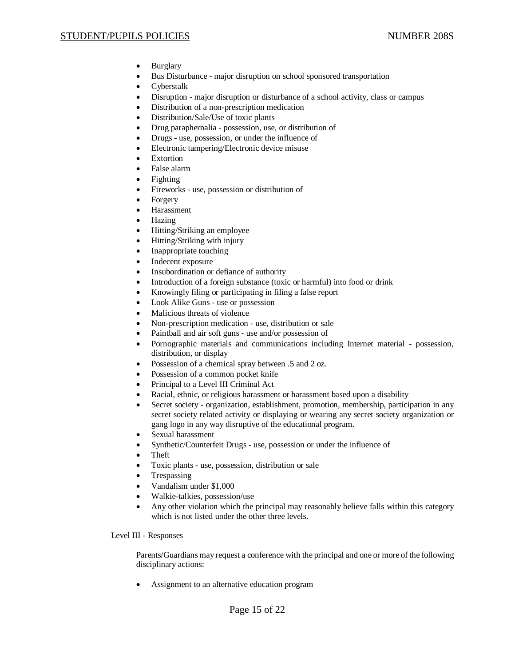# STUDENT/PUPILS POLICIES NUMBER 208S

- $\bullet$  Burglary
- Bus Disturbance major disruption on school sponsored transportation
- Cyberstalk
- Disruption major disruption or disturbance of a school activity, class or campus
- Distribution of a non-prescription medication
- Distribution/Sale/Use of toxic plants
- Drug paraphernalia possession, use, or distribution of
- Drugs use, possession, or under the influence of
- Electronic tampering/Electronic device misuse
- Extortion
- False alarm
- $\bullet$  Fighting
- Fireworks use, possession or distribution of
- Forgery
- **Harassment**
- Hazing
- Hitting/Striking an employee
- Hitting/Striking with injury
- Inappropriate touching
- Indecent exposure
- Insubordination or defiance of authority
- Introduction of a foreign substance (toxic or harmful) into food or drink
- x Knowingly filing or participating in filing a false report
- Look Alike Guns use or possession
- Malicious threats of violence
- x Non-prescription medication use, distribution or sale
- Paintball and air soft guns use and/or possession of
- Pornographic materials and communications including Internet material possession, distribution, or display
- Possession of a chemical spray between .5 and 2 oz.
- Possession of a common pocket knife
- Principal to a Level III Criminal Act
- Racial, ethnic, or religious harassment or harassment based upon a disability
- Secret society organization, establishment, promotion, membership, participation in any secret society related activity or displaying or wearing any secret society organization or gang logo in any way disruptive of the educational program.
- Sexual harassment
- Synthetic/Counterfeit Drugs use, possession or under the influence of
- Theft
- Toxic plants use, possession, distribution or sale
- **Trespassing**
- $\bullet$  Vandalism under \$1,000
- x Walkie-talkies, possession/use
- Any other violation which the principal may reasonably believe falls within this category which is not listed under the other three levels.

Level III - Responses

Parents/Guardians may request a conference with the principal and one or more of the following disciplinary actions:

Assignment to an alternative education program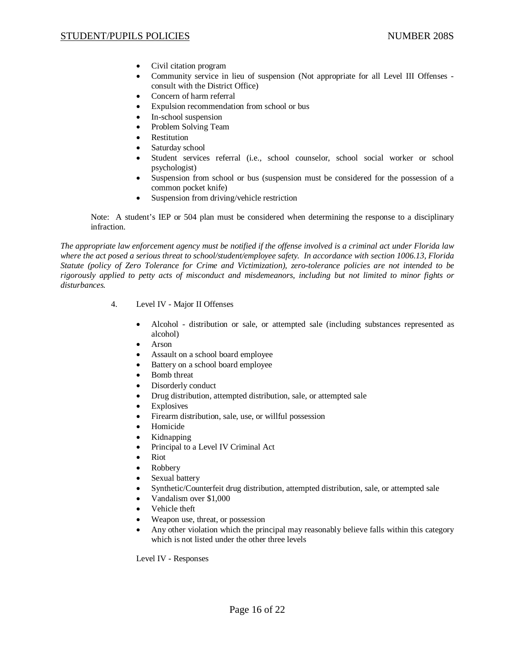- Civil citation program
- Community service in lieu of suspension (Not appropriate for all Level III Offenses consult with the District Office)
- Concern of harm referral
- x Expulsion recommendation from school or bus
- In-school suspension
- Problem Solving Team
- **Restitution**
- Saturday school
- Student services referral (i.e., school counselor, school social worker or school psychologist)
- Suspension from school or bus (suspension must be considered for the possession of a common pocket knife)
- Suspension from driving/vehicle restriction

Note: A student's IEP or 504 plan must be considered when determining the response to a disciplinary infraction.

*The appropriate law enforcement agency must be notified if the offense involved is a criminal act under Florida law where the act posed a serious threat to school/student/employee safety. In accordance with section 1006.13, Florida Statute (policy of Zero Tolerance for Crime and Victimization), zero-tolerance policies are not intended to be rigorously applied to petty acts of misconduct and misdemeanors, including but not limited to minor fights or disturbances.*

- 4. Level IV Major II Offenses
	- x Alcohol distribution or sale, or attempted sale (including substances represented as alcohol)
	- $\bullet$  Arson
	- Assault on a school board employee
	- Battery on a school board employee
	- Bomb threat
	- Disorderly conduct
	- Drug distribution, attempted distribution, sale, or attempted sale
	- Explosives
	- Firearm distribution, sale, use, or willful possession
	- Homicide
	- x Kidnapping
	- Principal to a Level IV Criminal Act
	- **Riot**
	- Robbery
	- Sexual battery
	- x Synthetic/Counterfeit drug distribution, attempted distribution, sale, or attempted sale
	- x Vandalism over \$1,000
	- Vehicle theft
	- Weapon use, threat, or possession
	- Any other violation which the principal may reasonably believe falls within this category which is not listed under the other three levels

Level IV - Responses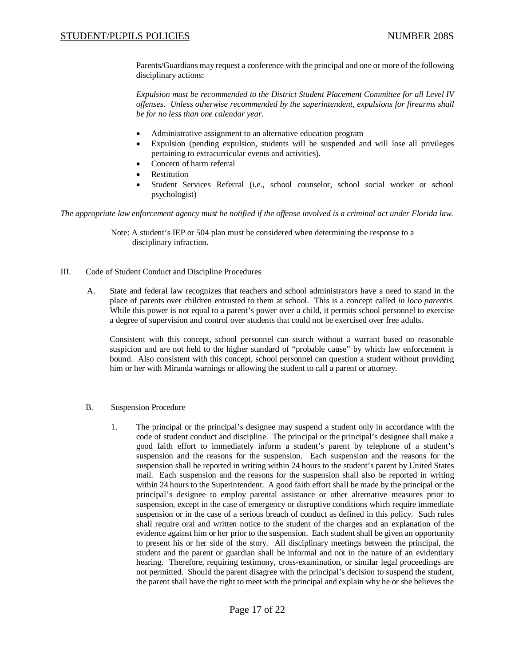Parents/Guardians may request a conference with the principal and one or more of the following disciplinary actions:

*Expulsion must be recommended to the District Student Placement Committee for all Level IV offenses. Unless otherwise recommended by the superintendent, expulsions for firearms shall be for no less than one calendar year.*

- Administrative assignment to an alternative education program
- x Expulsion (pending expulsion, students will be suspended and will lose all privileges pertaining to extracurricular events and activities)*.*
- Concern of harm referral
- **Restitution**
- x Student Services Referral (i.e., school counselor, school social worker or school psychologist)

*The appropriate law enforcement agency must be notified if the offense involved is a criminal act under Florida law.*

Note: A student's IEP or 504 plan must be considered when determining the response to a disciplinary infraction.

- III. Code of Student Conduct and Discipline Procedures
	- A. State and federal law recognizes that teachers and school administrators have a need to stand in the place of parents over children entrusted to them at school. This is a concept called *in loco parentis*. While this power is not equal to a parent's power over a child, it permits school personnel to exercise a degree of supervision and control over students that could not be exercised over free adults.

Consistent with this concept, school personnel can search without a warrant based on reasonable suspicion and are not held to the higher standard of "probable cause" by which law enforcement is bound. Also consistent with this concept, school personnel can question a student without providing him or her with Miranda warnings or allowing the student to call a parent or attorney.

- B. Suspension Procedure
	- 1. The principal or the principal's designee may suspend a student only in accordance with the code of student conduct and discipline. The principal or the principal's designee shall make a good faith effort to immediately inform a student's parent by telephone of a student's suspension and the reasons for the suspension. Each suspension and the reasons for the suspension shall be reported in writing within 24 hours to the student's parent by United States mail. Each suspension and the reasons for the suspension shall also be reported in writing within 24 hours to the Superintendent. A good faith effort shall be made by the principal or the principal's designee to employ parental assistance or other alternative measures prior to suspension, except in the case of emergency or disruptive conditions which require immediate suspension or in the case of a serious breach of conduct as defined in this policy. Such rules shall require oral and written notice to the student of the charges and an explanation of the evidence against him or her prior to the suspension. Each student shall be given an opportunity to present his or her side of the story. All disciplinary meetings between the principal, the student and the parent or guardian shall be informal and not in the nature of an evidentiary hearing. Therefore, requiring testimony, cross-examination, or similar legal proceedings are not permitted. Should the parent disagree with the principal's decision to suspend the student, the parent shall have the right to meet with the principal and explain why he or she believes the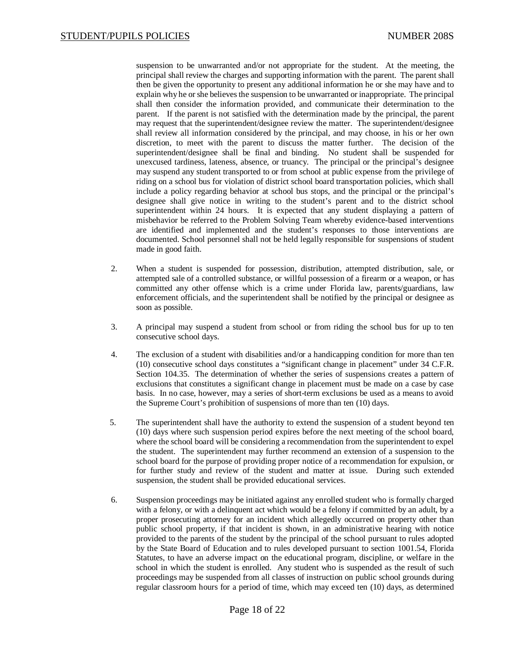suspension to be unwarranted and/or not appropriate for the student. At the meeting, the principal shall review the charges and supporting information with the parent. The parent shall then be given the opportunity to present any additional information he or she may have and to explain why he or she believes the suspension to be unwarranted or inappropriate. The principal shall then consider the information provided, and communicate their determination to the parent. If the parent is not satisfied with the determination made by the principal, the parent may request that the superintendent/designee review the matter. The superintendent/designee shall review all information considered by the principal, and may choose, in his or her own discretion, to meet with the parent to discuss the matter further. The decision of the superintendent/designee shall be final and binding. No student shall be suspended for unexcused tardiness, lateness, absence, or truancy. The principal or the principal's designee may suspend any student transported to or from school at public expense from the privilege of riding on a school bus for violation of district school board transportation policies, which shall include a policy regarding behavior at school bus stops, and the principal or the principal's designee shall give notice in writing to the student's parent and to the district school superintendent within 24 hours. It is expected that any student displaying a pattern of misbehavior be referred to the Problem Solving Team whereby evidence-based interventions are identified and implemented and the student's responses to those interventions are documented. School personnel shall not be held legally responsible for suspensions of student made in good faith.

- 2. When a student is suspended for possession, distribution, attempted distribution, sale, or attempted sale of a controlled substance, or willful possession of a firearm or a weapon, or has committed any other offense which is a crime under Florida law, parents/guardians, law enforcement officials, and the superintendent shall be notified by the principal or designee as soon as possible.
- 3. A principal may suspend a student from school or from riding the school bus for up to ten consecutive school days.
- 4. The exclusion of a student with disabilities and/or a handicapping condition for more than ten (10) consecutive school days constitutes a "significant change in placement" under 34 C.F.R. Section 104.35. The determination of whether the series of suspensions creates a pattern of exclusions that constitutes a significant change in placement must be made on a case by case basis. In no case, however, may a series of short-term exclusions be used as a means to avoid the Supreme Court's prohibition of suspensions of more than ten (10) days.
- 5. The superintendent shall have the authority to extend the suspension of a student beyond ten (10) days where such suspension period expires before the next meeting of the school board, where the school board will be considering a recommendation from the superintendent to expel the student. The superintendent may further recommend an extension of a suspension to the school board for the purpose of providing proper notice of a recommendation for expulsion, or for further study and review of the student and matter at issue. During such extended suspension, the student shall be provided educational services.
- 6. Suspension proceedings may be initiated against any enrolled student who is formally charged with a felony, or with a delinquent act which would be a felony if committed by an adult, by a proper prosecuting attorney for an incident which allegedly occurred on property other than public school property, if that incident is shown, in an administrative hearing with notice provided to the parents of the student by the principal of the school pursuant to rules adopted by the State Board of Education and to rules developed pursuant to section 1001.54, Florida Statutes, to have an adverse impact on the educational program, discipline, or welfare in the school in which the student is enrolled. Any student who is suspended as the result of such proceedings may be suspended from all classes of instruction on public school grounds during regular classroom hours for a period of time, which may exceed ten (10) days, as determined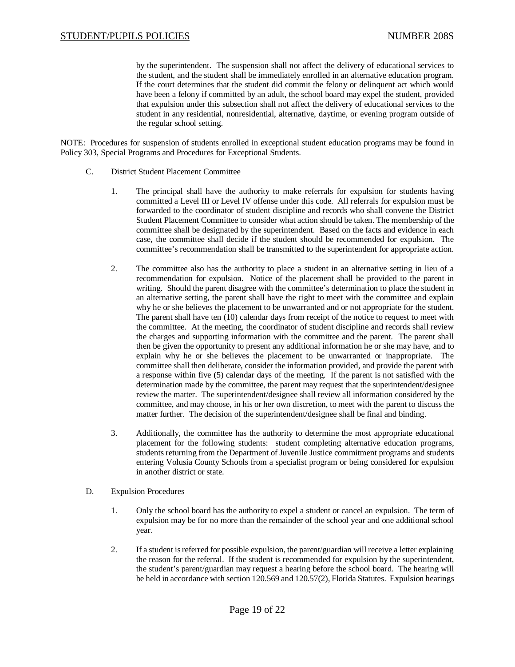by the superintendent. The suspension shall not affect the delivery of educational services to the student, and the student shall be immediately enrolled in an alternative education program. If the court determines that the student did commit the felony or delinquent act which would have been a felony if committed by an adult, the school board may expel the student, provided that expulsion under this subsection shall not affect the delivery of educational services to the student in any residential, nonresidential, alternative, daytime, or evening program outside of the regular school setting.

NOTE: Procedures for suspension of students enrolled in exceptional student education programs may be found in Policy 303, Special Programs and Procedures for Exceptional Students.

- C. District Student Placement Committee
	- 1. The principal shall have the authority to make referrals for expulsion for students having committed a Level III or Level IV offense under this code. All referrals for expulsion must be forwarded to the coordinator of student discipline and records who shall convene the District Student Placement Committee to consider what action should be taken. The membership of the committee shall be designated by the superintendent. Based on the facts and evidence in each case, the committee shall decide if the student should be recommended for expulsion. The committee's recommendation shall be transmitted to the superintendent for appropriate action.
	- 2. The committee also has the authority to place a student in an alternative setting in lieu of a recommendation for expulsion. Notice of the placement shall be provided to the parent in writing. Should the parent disagree with the committee's determination to place the student in an alternative setting, the parent shall have the right to meet with the committee and explain why he or she believes the placement to be unwarranted and or not appropriate for the student. The parent shall have ten (10) calendar days from receipt of the notice to request to meet with the committee. At the meeting, the coordinator of student discipline and records shall review the charges and supporting information with the committee and the parent. The parent shall then be given the opportunity to present any additional information he or she may have, and to explain why he or she believes the placement to be unwarranted or inappropriate. The committee shall then deliberate, consider the information provided, and provide the parent with a response within five (5) calendar days of the meeting. If the parent is not satisfied with the determination made by the committee, the parent may request that the superintendent/designee review the matter. The superintendent/designee shall review all information considered by the committee, and may choose, in his or her own discretion, to meet with the parent to discuss the matter further. The decision of the superintendent/designee shall be final and binding.
	- 3. Additionally, the committee has the authority to determine the most appropriate educational placement for the following students: student completing alternative education programs, students returning from the Department of Juvenile Justice commitment programs and students entering Volusia County Schools from a specialist program or being considered for expulsion in another district or state.
- D. Expulsion Procedures
	- 1. Only the school board has the authority to expel a student or cancel an expulsion. The term of expulsion may be for no more than the remainder of the school year and one additional school year.
	- 2. If a student is referred for possible expulsion, the parent/guardian will receive a letter explaining the reason for the referral. If the student is recommended for expulsion by the superintendent, the student's parent/guardian may request a hearing before the school board. The hearing will be held in accordance with section 120.569 and 120.57(2), Florida Statutes. Expulsion hearings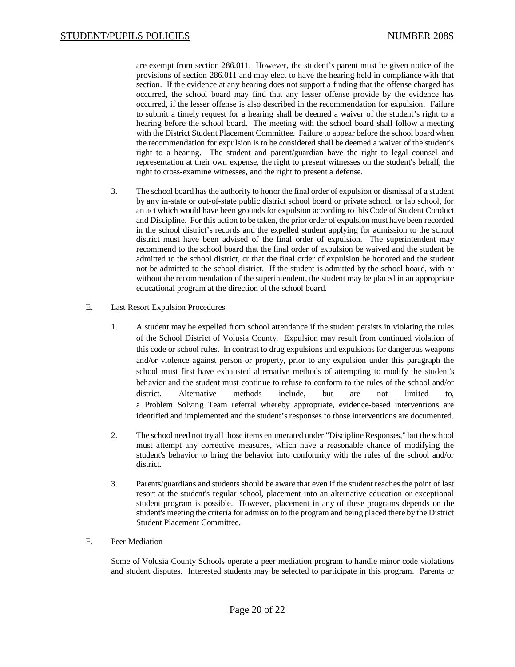are exempt from section 286.011. However, the student's parent must be given notice of the provisions of section 286.011 and may elect to have the hearing held in compliance with that section. If the evidence at any hearing does not support a finding that the offense charged has occurred, the school board may find that any lesser offense provide by the evidence has occurred, if the lesser offense is also described in the recommendation for expulsion. Failure to submit a timely request for a hearing shall be deemed a waiver of the student's right to a hearing before the school board. The meeting with the school board shall follow a meeting with the District Student Placement Committee. Failure to appear before the school board when the recommendation for expulsion is to be considered shall be deemed a waiver of the student's right to a hearing. The student and parent/guardian have the right to legal counsel and representation at their own expense, the right to present witnesses on the student's behalf, the right to cross-examine witnesses, and the right to present a defense.

- 3. The school board has the authority to honor the final order of expulsion or dismissal of a student by any in-state or out-of-state public district school board or private school, or lab school, for an act which would have been grounds for expulsion according to this Code of Student Conduct and Discipline. For this action to be taken, the prior order of expulsion must have been recorded in the school district's records and the expelled student applying for admission to the school district must have been advised of the final order of expulsion. The superintendent may recommend to the school board that the final order of expulsion be waived and the student be admitted to the school district, or that the final order of expulsion be honored and the student not be admitted to the school district. If the student is admitted by the school board, with or without the recommendation of the superintendent, the student may be placed in an appropriate educational program at the direction of the school board.
- E. Last Resort Expulsion Procedures
	- 1. A student may be expelled from school attendance if the student persists in violating the rules of the School District of Volusia County. Expulsion may result from continued violation of this code or school rules. In contrast to drug expulsions and expulsions for dangerous weapons and/or violence against person or property, prior to any expulsion under this paragraph the school must first have exhausted alternative methods of attempting to modify the student's behavior and the student must continue to refuse to conform to the rules of the school and/or district. Alternative methods include, but are not limited to, a Problem Solving Team referral whereby appropriate, evidence-based interventions are identified and implemented and the student's responses to those interventions are documented.
	- 2. The school need not try all those items enumerated under "Discipline Responses," but the school must attempt any corrective measures, which have a reasonable chance of modifying the student's behavior to bring the behavior into conformity with the rules of the school and/or district.
	- 3. Parents/guardians and students should be aware that even if the student reaches the point of last resort at the student's regular school, placement into an alternative education or exceptional student program is possible. However, placement in any of these programs depends on the student's meeting the criteria for admission to the program and being placed there by the District Student Placement Committee.
- F. Peer Mediation

Some of Volusia County Schools operate a peer mediation program to handle minor code violations and student disputes. Interested students may be selected to participate in this program. Parents or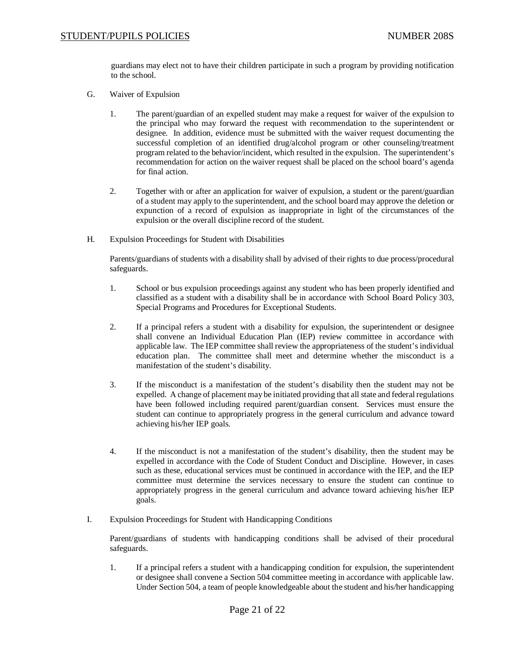# STUDENT/PUPILS POLICIES NUMBER 208S

guardians may elect not to have their children participate in such a program by providing notification to the school.

- G. Waiver of Expulsion
	- 1. The parent/guardian of an expelled student may make a request for waiver of the expulsion to the principal who may forward the request with recommendation to the superintendent or designee. In addition, evidence must be submitted with the waiver request documenting the successful completion of an identified drug/alcohol program or other counseling/treatment program related to the behavior/incident, which resulted in the expulsion. The superintendent's recommendation for action on the waiver request shall be placed on the school board's agenda for final action.
	- 2. Together with or after an application for waiver of expulsion, a student or the parent/guardian of a student may apply to the superintendent, and the school board may approve the deletion or expunction of a record of expulsion as inappropriate in light of the circumstances of the expulsion or the overall discipline record of the student.
- H. Expulsion Proceedings for Student with Disabilities

Parents/guardians of students with a disability shall by advised of their rights to due process/procedural safeguards.

- 1. School or bus expulsion proceedings against any student who has been properly identified and classified as a student with a disability shall be in accordance with School Board Policy 303, Special Programs and Procedures for Exceptional Students.
- 2. If a principal refers a student with a disability for expulsion, the superintendent or designee shall convene an Individual Education Plan (IEP) review committee in accordance with applicable law. The IEP committee shall review the appropriateness of the student's individual education plan. The committee shall meet and determine whether the misconduct is a manifestation of the student's disability.
- 3. If the misconduct is a manifestation of the student's disability then the student may not be expelled. A change of placement may be initiated providing that all state and federal regulations have been followed including required parent/guardian consent. Services must ensure the student can continue to appropriately progress in the general curriculum and advance toward achieving his/her IEP goals.
- 4. If the misconduct is not a manifestation of the student's disability, then the student may be expelled in accordance with the Code of Student Conduct and Discipline. However, in cases such as these, educational services must be continued in accordance with the IEP, and the IEP committee must determine the services necessary to ensure the student can continue to appropriately progress in the general curriculum and advance toward achieving his/her IEP goals.
- I. Expulsion Proceedings for Student with Handicapping Conditions

Parent/guardians of students with handicapping conditions shall be advised of their procedural safeguards.

1. If a principal refers a student with a handicapping condition for expulsion, the superintendent or designee shall convene a Section 504 committee meeting in accordance with applicable law. Under Section 504, a team of people knowledgeable about the student and his/her handicapping